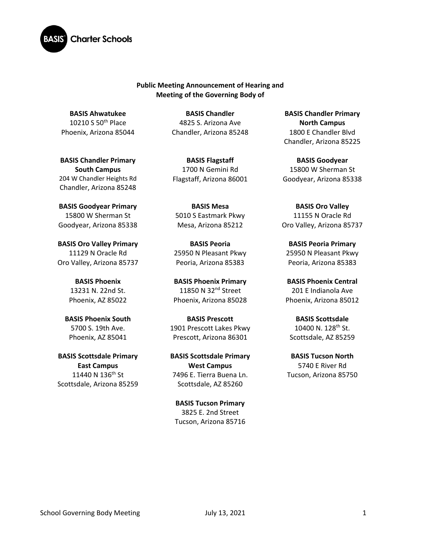

**Public Meeting Announcement of Hearing and Meeting of the Governing Body of** 

**BASIS Ahwatukee** 10210 S 50th Place Phoenix, Arizona 85044

**BASIS Chandler Primary South Campus**  204 W Chandler Heights Rd Chandler, Arizona 85248

**BASIS Goodyear Primary** 15800 W Sherman St Goodyear, Arizona 85338

**BASIS Oro Valley Primary**  11129 N Oracle Rd Oro Valley, Arizona 85737

> **BASIS Phoenix** 13231 N. 22nd St. Phoenix, AZ 85022

**BASIS Phoenix South**  5700 S. 19th Ave. Phoenix, AZ 85041

**BASIS Scottsdale Primary East Campus** 11440 N 136<sup>th</sup> St Scottsdale, Arizona 85259

**BASIS Chandler** 4825 S. Arizona Ave Chandler, Arizona 85248

**BASIS Flagstaff** 1700 N Gemini Rd Flagstaff, Arizona 86001

**BASIS Mesa**  5010 S Eastmark Pkwy Mesa, Arizona 85212

**BASIS Peoria** 25950 N Pleasant Pkwy Peoria, Arizona 85383

**BASIS Phoenix Primary** 11850 N 32<sup>nd</sup> Street Phoenix, Arizona 85028

**BASIS Prescott** 1901 Prescott Lakes Pkwy Prescott, Arizona 86301

**BASIS Scottsdale Primary West Campus** 7496 E. Tierra Buena Ln. Scottsdale, AZ 85260

**BASIS Tucson Primary** 3825 E. 2nd Street Tucson, Arizona 85716

**BASIS Chandler Primary North Campus** 1800 E Chandler Blvd Chandler, Arizona 85225

**BASIS Goodyear** 15800 W Sherman St Goodyear, Arizona 85338

**BASIS Oro Valley** 11155 N Oracle Rd Oro Valley, Arizona 85737

**BASIS Peoria Primary**  25950 N Pleasant Pkwy Peoria, Arizona 85383

**BASIS Phoenix Central** 201 E Indianola Ave Phoenix, Arizona 85012

**BASIS Scottsdale** 10400 N. 128<sup>th</sup> St. Scottsdale, AZ 85259

**BASIS Tucson North** 5740 E River Rd Tucson, Arizona 85750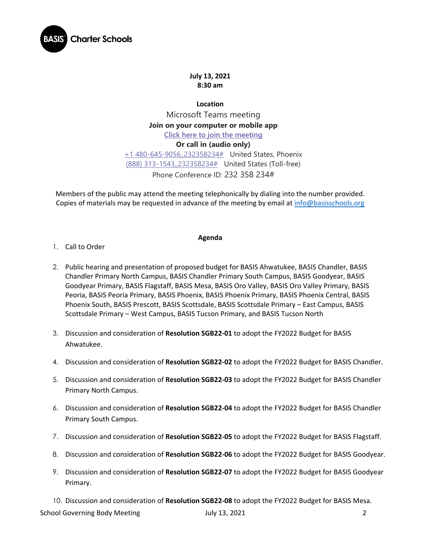

**July 13, 2021 8:30 am**

**Location** Microsoft Teams meeting **Join on your computer or mobile app [Click here to join the meeting](https://teams.microsoft.com/l/meetup-join/19%3ameeting_YzU5YzVjZGUtODkyNS00N2JlLWFhOTAtMzU0ZWFiODZhYjMw%40thread.v2/0?context=%7b%22Tid%22%3a%22e5f3479c-502f-4e92-b060-0c0c560d6271%22%2c%22Oid%22%3a%22575e4f74-824e-48e9-9805-77af91568d41%22%7d) Or call in (audio only)** [+1 480-645-9056,,232358234#](tel:+14806459056,,232358234# ) United States, Phoenix [\(888\) 313-1543,,232358234#](tel:8883131543,,232358234# ) United States (Toll-free) Phone Conference ID: 232 358 234#

Members of the public may attend the meeting telephonically by dialing into the number provided. Copies of materials may be requested in advance of the meeting by email at [info@basisschools.org](mailto:info@basisschools.org)

## **Agenda**

- 1. Call to Order
- 2. Public hearing and presentation of proposed budget for BASIS Ahwatukee, BASIS Chandler, BASIS Chandler Primary North Campus, BASIS Chandler Primary South Campus, BASIS Goodyear, BASIS Goodyear Primary, BASIS Flagstaff, BASIS Mesa, BASIS Oro Valley, BASIS Oro Valley Primary, BASIS Peoria, BASIS Peoria Primary, BASIS Phoenix, BASIS Phoenix Primary, BASIS Phoenix Central, BASIS Phoenix South, BASIS Prescott, BASIS Scottsdale, BASIS Scottsdale Primary – East Campus, BASIS Scottsdale Primary – West Campus, BASIS Tucson Primary, and BASIS Tucson North
- 3. Discussion and consideration of **Resolution SGB22-01** to adopt the FY2022 Budget for BASIS Ahwatukee.
- 4. Discussion and consideration of **Resolution SGB22-02** to adopt the FY2022 Budget for BASIS Chandler.
- 5. Discussion and consideration of **Resolution SGB22-03** to adopt the FY2022 Budget for BASIS Chandler Primary North Campus.
- 6. Discussion and consideration of **Resolution SGB22-04** to adopt the FY2022 Budget for BASIS Chandler Primary South Campus.
- 7. Discussion and consideration of **Resolution SGB22-05** to adopt the FY2022 Budget for BASIS Flagstaff.
- 8. Discussion and consideration of **Resolution SGB22-06** to adopt the FY2022 Budget for BASIS Goodyear.
- 9. Discussion and consideration of **Resolution SGB22-07** to adopt the FY2022 Budget for BASIS Goodyear Primary.
- 10. Discussion and consideration of **Resolution SGB22-08** to adopt the FY2022 Budget for BASIS Mesa.

School Governing Body Meeting July 13, 2021 2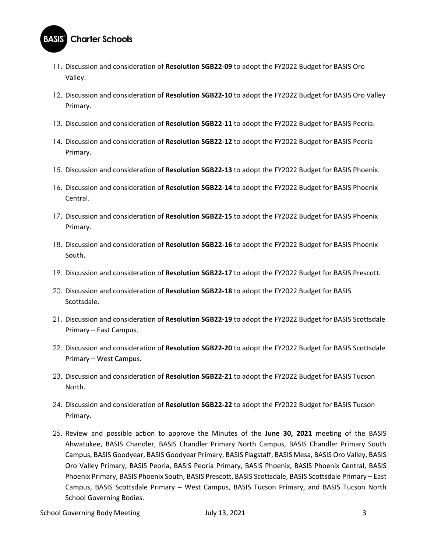

- 11. Discussion and consideration of **Resolution SGB22-09** to adopt the FY2022 Budget for BASIS Oro Valley.
- 12. Discussion and consideration of **Resolution SGB22-10** to adopt the FY2022 Budget for BASIS Oro Valley Primary.
- 13. Discussion and consideration of **Resolution SGB22-11** to adopt the FY2022 Budget for BASIS Peoria.
- 14. Discussion and consideration of **Resolution SGB22-12** to adopt the FY2022 Budget for BASIS Peoria Primary.
- 15. Discussion and consideration of **Resolution SGB22-13** to adopt the FY2022 Budget for BASIS Phoenix.
- 16. Discussion and consideration of **Resolution SGB22-14** to adopt the FY2022 Budget for BASIS Phoenix Central.
- 17. Discussion and consideration of **Resolution SGB22-15** to adopt the FY2022 Budget for BASIS Phoenix Primary.
- 18. Discussion and consideration of **Resolution SGB22-16** to adopt the FY2022 Budget for BASIS Phoenix South.
- 19. Discussion and consideration of **Resolution SGB22-17** to adopt the FY2022 Budget for BASIS Prescott.
- 20. Discussion and consideration of **Resolution SGB22-18** to adopt the FY2022 Budget for BASIS Scottsdale.
- 21. Discussion and consideration of **Resolution SGB22-19** to adopt the FY2022 Budget for BASIS Scottsdale Primary – East Campus.
- 22. Discussion and consideration of **Resolution SGB22-20** to adopt the FY2022 Budget for BASIS Scottsdale Primary – West Campus.
- 23. Discussion and consideration of **Resolution SGB22-21** to adopt the FY2022 Budget for BASIS Tucson North.
- 24. Discussion and consideration of **Resolution SGB22-22** to adopt the FY2022 Budget for BASIS Tucson Primary.
- 25. Review and possible action to approve the Minutes of the **June 30, 2021** meeting of the BASIS Ahwatukee, BASIS Chandler, BASIS Chandler Primary North Campus, BASIS Chandler Primary South Campus, BASIS Goodyear, BASIS Goodyear Primary, BASIS Flagstaff, BASIS Mesa, BASIS Oro Valley, BASIS Oro Valley Primary, BASIS Peoria, BASIS Peoria Primary, BASIS Phoenix, BASIS Phoenix Central, BASIS Phoenix Primary, BASIS Phoenix South, BASIS Prescott, BASIS Scottsdale, BASIS Scottsdale Primary – East Campus, BASIS Scottsdale Primary – West Campus, BASIS Tucson Primary, and BASIS Tucson North School Governing Bodies.